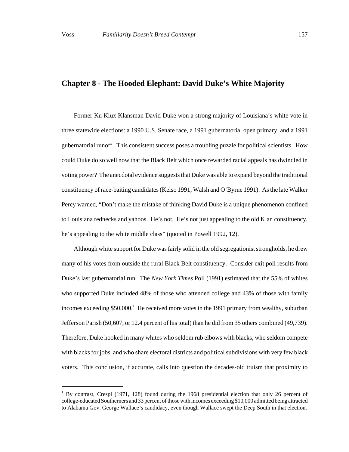Former Ku Klux Klansman David Duke won a strong majority of Louisiana's white vote in three statewide elections: a 1990 U.S. Senate race, a 1991 gubernatorial open primary, and a 1991 gubernatorial runoff. This consistent success poses a troubling puzzle for political scientists. How could Duke do so well now that the Black Belt which once rewarded racial appeals has dwindled in voting power? The anecdotal evidence suggests that Duke was able to expand beyond the traditional constituency of race-baiting candidates (Kelso 1991; Walsh and O'Byrne 1991). As the late Walker Percy warned, "Don't make the mistake of thinking David Duke is a unique phenomenon confined to Louisiana rednecks and yahoos. He's not. He's not just appealing to the old Klan constituency, he's appealing to the white middle class" (quoted in Powell 1992, 12).

Although white support for Duke was fairly solid in the old segregationist strongholds, he drew many of his votes from outside the rural Black Belt constituency. Consider exit poll results from Duke's last gubernatorial run. The *New York Times* Poll (1991) estimated that the 55% of whites who supported Duke included 48% of those who attended college and 43% of those with family incomes exceeding \$50,000.<sup>1</sup> He received more votes in the 1991 primary from wealthy, suburban Jefferson Parish (50,607, or 12.4 percent of his total) than he did from 35 others combined (49,739). Therefore, Duke hooked in many whites who seldom rub elbows with blacks, who seldom compete with blacks for jobs, and who share electoral districts and political subdivisions with very few black voters. This conclusion, if accurate, calls into question the decades-old truism that proximity to

<sup>&</sup>lt;sup>1</sup> By contrast, Crespi (1971, 128) found during the 1968 presidential election that only 26 percent of college-educated Southerners and 33 percent of those with incomes exceeding \$10,000 admitted being attracted to Alabama Gov. George Wallace's candidacy, even though Wallace swept the Deep South in that election.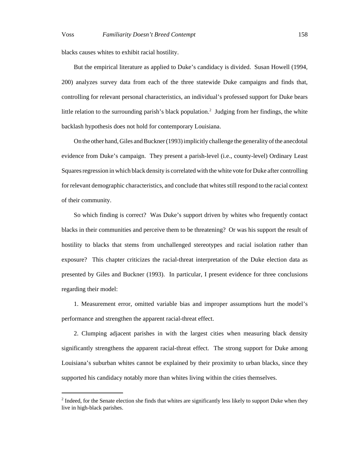blacks causes whites to exhibit racial hostility.

But the empirical literature as applied to Duke's candidacy is divided. Susan Howell (1994, 200) analyzes survey data from each of the three statewide Duke campaigns and finds that, controlling for relevant personal characteristics, an individual's professed support for Duke bears little relation to the surrounding parish's black population.<sup>2</sup> Judging from her findings, the white backlash hypothesis does not hold for contemporary Louisiana.

On the other hand, Giles and Buckner (1993) implicitly challenge the generality of the anecdotal evidence from Duke's campaign. They present a parish-level (i.e., county-level) Ordinary Least Squares regression in which black density is correlated with the white vote for Duke after controlling for relevant demographic characteristics, and conclude that whites still respond to the racial context of their community.

So which finding is correct? Was Duke's support driven by whites who frequently contact blacks in their communities and perceive them to be threatening? Or was his support the result of hostility to blacks that stems from unchallenged stereotypes and racial isolation rather than exposure? This chapter criticizes the racial-threat interpretation of the Duke election data as presented by Giles and Buckner (1993). In particular, I present evidence for three conclusions regarding their model:

1. Measurement error, omitted variable bias and improper assumptions hurt the model's performance and strengthen the apparent racial-threat effect.

2. Clumping adjacent parishes in with the largest cities when measuring black density significantly strengthens the apparent racial-threat effect. The strong support for Duke among Louisiana's suburban whites cannot be explained by their proximity to urban blacks, since they supported his candidacy notably more than whites living within the cities themselves.

 $2$  Indeed, for the Senate election she finds that whites are significantly less likely to support Duke when they live in high-black parishes.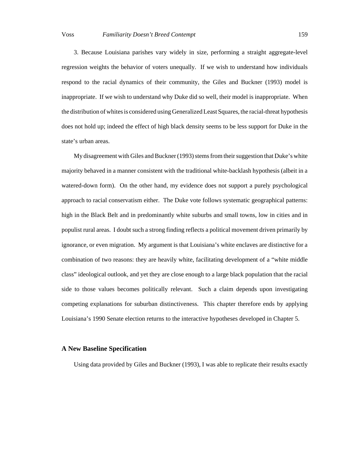3. Because Louisiana parishes vary widely in size, performing a straight aggregate-level regression weights the behavior of voters unequally. If we wish to understand how individuals respond to the racial dynamics of their community, the Giles and Buckner (1993) model is inappropriate. If we wish to understand why Duke did so well, their model is inappropriate. When the distribution of whites is considered using Generalized Least Squares, the racial-threat hypothesis does not hold up; indeed the effect of high black density seems to be less support for Duke in the state's urban areas.

My disagreement with Giles and Buckner (1993) stems from their suggestion that Duke's white majority behaved in a manner consistent with the traditional white-backlash hypothesis (albeit in a watered-down form). On the other hand, my evidence does not support a purely psychological approach to racial conservatism either. The Duke vote follows systematic geographical patterns: high in the Black Belt and in predominantly white suburbs and small towns, low in cities and in populist rural areas. I doubt such a strong finding reflects a political movement driven primarily by ignorance, or even migration. My argument is that Louisiana's white enclaves are distinctive for a combination of two reasons: they are heavily white, facilitating development of a "white middle class" ideological outlook, and yet they are close enough to a large black population that the racial side to those values becomes politically relevant. Such a claim depends upon investigating competing explanations for suburban distinctiveness. This chapter therefore ends by applying Louisiana's 1990 Senate election returns to the interactive hypotheses developed in Chapter 5.

# **A New Baseline Specification**

Using data provided by Giles and Buckner (1993), I was able to replicate their results exactly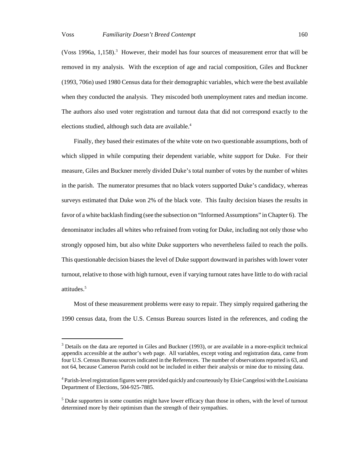(Voss 1996a, 1,158).<sup>3</sup> However, their model has four sources of measurement error that will be removed in my analysis. With the exception of age and racial composition, Giles and Buckner (1993, 706n) used 1980 Census data for their demographic variables, which were the best available when they conducted the analysis. They miscoded both unemployment rates and median income. The authors also used voter registration and turnout data that did not correspond exactly to the

elections studied, although such data are available.<sup>4</sup>

Finally, they based their estimates of the white vote on two questionable assumptions, both of which slipped in while computing their dependent variable, white support for Duke. For their measure, Giles and Buckner merely divided Duke's total number of votes by the number of whites in the parish. The numerator presumes that no black voters supported Duke's candidacy, whereas surveys estimated that Duke won 2% of the black vote. This faulty decision biases the results in favor of a white backlash finding (see the subsection on "Informed Assumptions" in Chapter 6). The denominator includes all whites who refrained from voting for Duke, including not only those who strongly opposed him, but also white Duke supporters who nevertheless failed to reach the polls. This questionable decision biases the level of Duke support downward in parishes with lower voter turnout, relative to those with high turnout, even if varying turnout rates have little to do with racial attitudes.<sup>5</sup>

Most of these measurement problems were easy to repair. They simply required gathering the 1990 census data, from the U.S. Census Bureau sources listed in the references, and coding the

 $3$  Details on the data are reported in Giles and Buckner (1993), or are available in a more-explicit technical appendix accessible at the author's web page. All variables, except voting and registration data, came from four U.S. Census Bureau sources indicated in the References. The number of observations reported is 63, and not 64, because Cameron Parish could not be included in either their analysis or mine due to missing data.

<sup>&</sup>lt;sup>4</sup> Parish-level registration figures were provided quickly and courteously by Elsie Cangelosi with the Louisiana Department of Elections, 504-925-7885.

<sup>&</sup>lt;sup>5</sup> Duke supporters in some counties might have lower efficacy than those in others, with the level of turnout determined more by their optimism than the strength of their sympathies.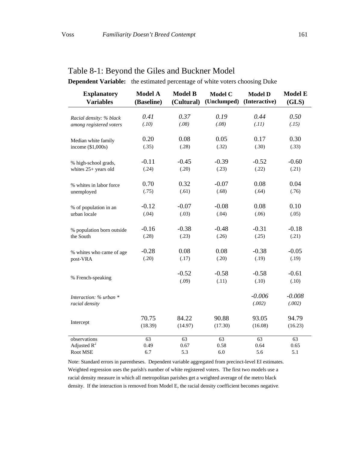| <b>Explanatory</b><br><b>Variables</b> | <b>Model A</b><br>(Baseline) | <b>Model B</b><br>(Cultural) | <b>Model C</b><br>(Unclumped) | <b>Model D</b><br>(Interactive) | <b>Model E</b><br>(GLS) |
|----------------------------------------|------------------------------|------------------------------|-------------------------------|---------------------------------|-------------------------|
| Racial density: % black                | 0.41                         | 0.37                         | 0.19                          | 0.44                            | 0.50                    |
| among registered voters                | (.10)                        | (.08)                        | (.08)                         | (.11)                           | (.15)                   |
| Median white family                    | 0.20                         | 0.08                         | 0.05                          | 0.17                            | 0.30                    |
| income $(\$1,000s)$                    | (.35)                        | (.28)                        | (.32)                         | (.30)                           | (.33)                   |
| % high-school grads,                   | $-0.11$                      | $-0.45$                      | $-0.39$                       | $-0.52$                         | $-0.60$                 |
| whites 25+ years old                   | (.24)                        | (.20)                        | (.23)                         | (.22)                           | (.21)                   |
| % whites in labor force                | 0.70                         | 0.32                         | $-0.07$                       | 0.08                            | 0.04                    |
| unemployed                             | (.75)                        | (.61)                        | (.68)                         | (.64)                           | (.76)                   |
| % of population in an                  | $-0.12$                      | $-0.07$                      | $-0.08$                       | 0.08                            | 0.10                    |
| urban locale                           | (.04)                        | (.03)                        | (.04)                         | (.06)                           | (.05)                   |
| % population born outside              | $-0.16$                      | $-0.38$                      | $-0.48$                       | $-0.31$                         | $-0.18$                 |
| the South                              | (.28)                        | (.23)                        | (.26)                         | (.25)                           | (.21)                   |
| % whites who came of age               | $-0.28$                      | 0.08                         | 0.08                          | $-0.38$                         | $-0.05$                 |
| post-VRA                               | (.20)                        | (.17)                        | (.20)                         | (.19)                           | (.19)                   |
| % French-speaking                      |                              | $-0.52$                      | $-0.58$                       | $-0.58$                         | $-0.61$                 |
|                                        |                              | (.09)                        | (.11)                         | (.10)                           | (.10)                   |
| Interaction: % urban *                 |                              |                              |                               | $-0.006$                        | $-0.008$                |
| racial density                         |                              |                              |                               | (.002)                          | (.002)                  |
|                                        | 70.75                        | 84.22                        | 90.88                         | 93.05                           | 94.79                   |
| Intercept                              | (18.39)                      | (14.97)                      | (17.30)                       | (16.08)                         | (16.23)                 |
| observations<br>Adjusted $R^2$         | 63<br>0.49                   | 63<br>0.67                   | 63<br>0.58                    | 63<br>0.64                      | 63<br>0.65              |

# Table 8-1: Beyond the Giles and Buckner Model

**Dependent Variable:** the estimated percentage of white voters choosing Duke

Note: Standard errors in parentheses. Dependent variable aggregated from precinct-level EI estimates. Weighted regression uses the parish's number of white registered voters. The first two models use a racial density measure in which all metropolitan parishes get a weighted average of the metro black density. If the interaction is removed from Model E, the racial density coefficient becomes negative.

Root MSE 6.7 5.3 6.0 5.6 5.1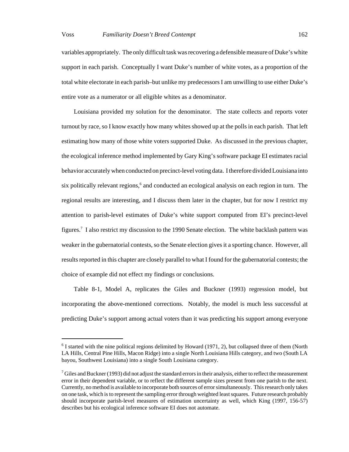variables appropriately. The only difficult task was recovering a defensible measure of Duke's white support in each parish. Conceptually I want Duke's number of white votes, as a proportion of the total white electorate in each parish–but unlike my predecessors I am unwilling to use either Duke's entire vote as a numerator or all eligible whites as a denominator.

Louisiana provided my solution for the denominator. The state collects and reports voter turnout by race, so I know exactly how many whites showed up at the polls in each parish. That left estimating how many of those white voters supported Duke. As discussed in the previous chapter, the ecological inference method implemented by Gary King's software package EI estimates racial behavior accurately when conducted on precinct-level voting data. I therefore divided Louisiana into six politically relevant regions,<sup>6</sup> and conducted an ecological analysis on each region in turn. The regional results are interesting, and I discuss them later in the chapter, but for now I restrict my attention to parish-level estimates of Duke's white support computed from EI's precinct-level figures.<sup>7</sup> I also restrict my discussion to the 1990 Senate election. The white backlash pattern was weaker in the gubernatorial contests, so the Senate election gives it a sporting chance. However, all results reported in this chapter are closely parallel to what I found for the gubernatorial contests; the choice of example did not effect my findings or conclusions.

Table 8-1, Model A, replicates the Giles and Buckner (1993) regression model, but incorporating the above-mentioned corrections. Notably, the model is much less successful at predicting Duke's support among actual voters than it was predicting his support among everyone

 $6$  I started with the nine political regions delimited by Howard (1971, 2), but collapsed three of them (North LA Hills, Central Pine Hills, Macon Ridge) into a single North Louisiana Hills category, and two (South LA bayou, Southwest Louisiana) into a single South Louisiana category.

 $^7$  Giles and Buckner (1993) did not adjust the standard errors in their analysis, either to reflect the measurement error in their dependent variable, or to reflect the different sample sizes present from one parish to the next. Currently, no method is available to incorporate both sources of error simultaneously. This research only takes on one task, which is to represent the sampling error through weighted least squares. Future research probably should incorporate parish-level measures of estimation uncertainty as well, which King (1997, 156-57) describes but his ecological inference software EI does not automate.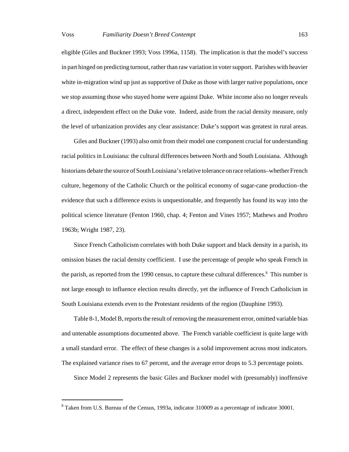eligible (Giles and Buckner 1993; Voss 1996a, 1158). The implication is that the model's success in part hinged on predicting turnout, rather than raw variation in voter support. Parishes with heavier white in-migration wind up just as supportive of Duke as those with larger native populations, once we stop assuming those who stayed home were against Duke. White income also no longer reveals a direct, independent effect on the Duke vote. Indeed, aside from the racial density measure, only the level of urbanization provides any clear assistance: Duke's support was greatest in rural areas.

Giles and Buckner (1993) also omit from their model one component crucial for understanding racial politics in Louisiana: the cultural differences between North and South Louisiana. Although historians debate the source of South Louisiana's relative tolerance on race relations–whether French culture, hegemony of the Catholic Church or the political economy of sugar-cane production–the evidence that such a difference exists is unquestionable, and frequently has found its way into the political science literature (Fenton 1960, chap. 4; Fenton and Vines 1957; Mathews and Prothro 1963b; Wright 1987, 23).

Since French Catholicism correlates with both Duke support and black density in a parish, its omission biases the racial density coefficient. I use the percentage of people who speak French in the parish, as reported from the 1990 census, to capture these cultural differences.<sup>8</sup> This number is not large enough to influence election results directly, yet the influence of French Catholicism in South Louisiana extends even to the Protestant residents of the region (Dauphine 1993).

Table 8-1, Model B, reports the result of removing the measurement error, omitted variable bias and untenable assumptions documented above. The French variable coefficient is quite large with a small standard error. The effect of these changes is a solid improvement across most indicators. The explained variance rises to 67 percent, and the average error drops to 5.3 percentage points.

Since Model 2 represents the basic Giles and Buckner model with (presumably) inoffensive

 $8$  Taken from U.S. Bureau of the Census, 1993a, indicator 310009 as a percentage of indicator 30001.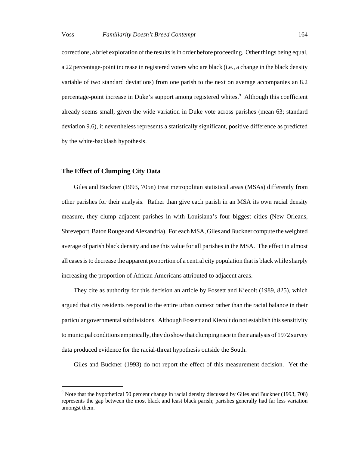corrections, a brief exploration of the results is in order before proceeding. Other things being equal, a 22 percentage-point increase in registered voters who are black (i.e., a change in the black density variable of two standard deviations) from one parish to the next on average accompanies an 8.2 percentage-point increase in Duke's support among registered whites.<sup>9</sup> Although this coefficient already seems small, given the wide variation in Duke vote across parishes (mean 63; standard deviation 9.6), it nevertheless represents a statistically significant, positive difference as predicted by the white-backlash hypothesis.

## **The Effect of Clumping City Data**

Giles and Buckner (1993, 705n) treat metropolitan statistical areas (MSAs) differently from other parishes for their analysis. Rather than give each parish in an MSA its own racial density measure, they clump adjacent parishes in with Louisiana's four biggest cities (New Orleans, Shreveport, Baton Rouge and Alexandria). For each MSA, Giles and Buckner compute the weighted average of parish black density and use this value for all parishes in the MSA. The effect in almost all cases is to decrease the apparent proportion of a central city population that is black while sharply increasing the proportion of African Americans attributed to adjacent areas.

They cite as authority for this decision an article by Fossett and Kiecolt (1989, 825), which argued that city residents respond to the entire urban context rather than the racial balance in their particular governmental subdivisions. Although Fossett and Kiecolt do not establish this sensitivity to municipal conditions empirically, they do show that clumping race in their analysis of 1972 survey data produced evidence for the racial-threat hypothesis outside the South.

Giles and Buckner (1993) do not report the effect of this measurement decision. Yet the

<sup>&</sup>lt;sup>9</sup> Note that the hypothetical 50 percent change in racial density discussed by Giles and Buckner (1993, 708) represents the gap between the most black and least black parish; parishes generally had far less variation amongst them.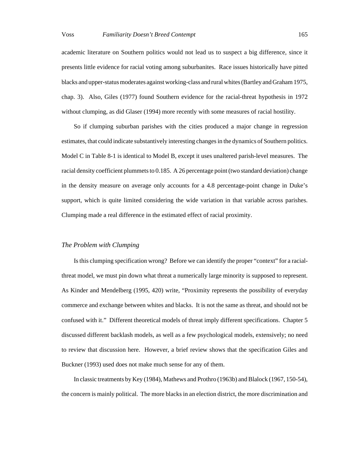academic literature on Southern politics would not lead us to suspect a big difference, since it presents little evidence for racial voting among suburbanites. Race issues historically have pitted blacks and upper-status moderates against working-class and rural whites (Bartley and Graham 1975, chap. 3). Also, Giles (1977) found Southern evidence for the racial-threat hypothesis in 1972 without clumping, as did Glaser (1994) more recently with some measures of racial hostility.

So if clumping suburban parishes with the cities produced a major change in regression estimates, that could indicate substantively interesting changes in the dynamics of Southern politics. Model C in Table 8-1 is identical to Model B, except it uses unaltered parish-level measures. The racial density coefficient plummets to 0.185. A 26 percentage point (two standard deviation) change in the density measure on average only accounts for a 4.8 percentage-point change in Duke's support, which is quite limited considering the wide variation in that variable across parishes. Clumping made a real difference in the estimated effect of racial proximity.

# *The Problem with Clumping*

Is this clumping specification wrong? Before we can identify the proper "context" for a racialthreat model, we must pin down what threat a numerically large minority is supposed to represent. As Kinder and Mendelberg (1995, 420) write, "Proximity represents the possibility of everyday commerce and exchange between whites and blacks. It is not the same as threat, and should not be confused with it." Different theoretical models of threat imply different specifications. Chapter 5 discussed different backlash models, as well as a few psychological models, extensively; no need to review that discussion here. However, a brief review shows that the specification Giles and Buckner (1993) used does not make much sense for any of them.

In classic treatments by Key (1984), Mathews and Prothro (1963b) and Blalock (1967, 150-54), the concern is mainly political. The more blacks in an election district, the more discrimination and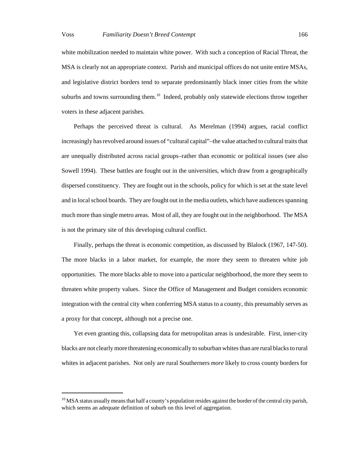white mobilization needed to maintain white power. With such a conception of Racial Threat, the MSA is clearly not an appropriate context. Parish and municipal offices do not unite entire MSAs, and legislative district borders tend to separate predominantly black inner cities from the white suburbs and towns surrounding them.<sup>10</sup> Indeed, probably only statewide elections throw together voters in these adjacent parishes.

Perhaps the perceived threat is cultural. As Merelman (1994) argues, racial conflict increasingly has revolved around issues of "cultural capital"–the value attached to cultural traits that are unequally distributed across racial groups–rather than economic or political issues (see also Sowell 1994). These battles are fought out in the universities, which draw from a geographically dispersed constituency. They are fought out in the schools, policy for which is set at the state level and in local school boards. They are fought out in the media outlets, which have audiences spanning much more than single metro areas. Most of all, they are fought out in the neighborhood. The MSA is not the primary site of this developing cultural conflict.

Finally, perhaps the threat is economic competition, as discussed by Blalock (1967, 147-50). The more blacks in a labor market, for example, the more they seem to threaten white job opportunities. The more blacks able to move into a particular neighborhood, the more they seem to threaten white property values. Since the Office of Management and Budget considers economic integration with the central city when conferring MSA status to a county, this presumably serves as a proxy for that concept, although not a precise one.

Yet even granting this, collapsing data for metropolitan areas is undesirable. First, inner-city blacks are not clearly more threatening economically to suburban whites than are rural blacks to rural whites in adjacent parishes. Not only are rural Southerners *more* likely to cross county borders for

<sup>&</sup>lt;sup>10</sup> MSA status usually means that half a county's population resides against the border of the central city parish, which seems an adequate definition of suburb on this level of aggregation.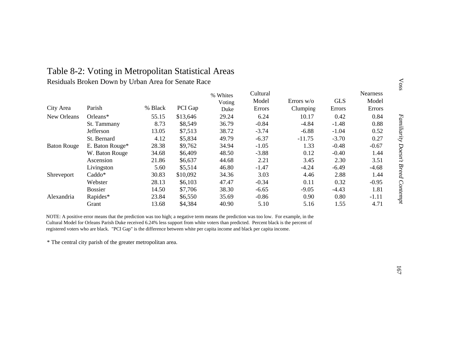# Table 8-2: Voting in Metropolitan Statistical Areas

Residuals Broken Down by Urban Area for Senate Race

|                    |                 |         |          | % Whites | Cultural      |              |            | <b>Nearness</b> |
|--------------------|-----------------|---------|----------|----------|---------------|--------------|------------|-----------------|
|                    |                 |         |          | Voting   | Model         | Errors $w/o$ | <b>GLS</b> | Model           |
| City Area          | Parish          | % Black | PCI Gap  | Duke     | <b>Errors</b> | Clumping     | Errors     | Errors          |
| New Orleans        | $Orleans*$      | 55.15   | \$13,646 | 29.24    | 6.24          | 10.17        | 0.42       | 0.84            |
|                    | St. Tammany     | 8.73    | \$8,549  | 36.79    | $-0.84$       | $-4.84$      | $-1.48$    | 0.88            |
|                    | Jefferson       | 13.05   | \$7,513  | 38.72    | $-3.74$       | $-6.88$      | $-1.04$    | 0.52            |
|                    | St. Bernard     | 4.12    | \$5,834  | 49.79    | $-6.37$       | $-11.75$     | $-3.70$    | 0.27            |
| <b>Baton Rouge</b> | E. Baton Rouge* | 28.38   | \$9,762  | 34.94    | $-1.05$       | 1.33         | $-0.48$    | $-0.67$         |
|                    | W. Baton Rouge  | 34.68   | \$6,409  | 48.50    | $-3.88$       | 0.12         | $-0.40$    | 1.44            |
|                    | Ascension       | 21.86   | \$6,637  | 44.68    | 2.21          | 3.45         | 2.30       | 3.51            |
|                    | Livingston      | 5.60    | \$5,514  | 46.80    | $-1.47$       | $-4.24$      | $-6.49$    | $-4.68$         |
| Shreveport         | Caddo*          | 30.83   | \$10,092 | 34.36    | 3.03          | 4.46         | 2.88       | 1.44            |
|                    | Webster         | 28.13   | \$6,103  | 47.47    | $-0.34$       | 0.11         | 0.32       | $-0.95$         |
|                    | <b>Bossier</b>  | 14.50   | \$7,706  | 38.30    | $-6.65$       | $-9.05$      | $-4.43$    | 1.81            |
| Alexandria         | Rapides*        | 23.84   | \$6,550  | 35.69    | $-0.86$       | 0.90         | 0.80       | $-1.11$         |
|                    | Grant           | 13.68   | \$4,384  | 40.90    | 5.10          | 5.16         | 1.55       | 4.71            |

NOTE: A positive error means that the prediction was too high; a negative term means the prediction was too low. For example, in the Cultural Model for Orleans Parish Duke received 6.24% less support from white voters than predicted. Percent black is the percent of registered voters who are black. "PCI Gap" is the difference between white per capita income and black per capita income.

\* The central city parish of the greater metropolitan area.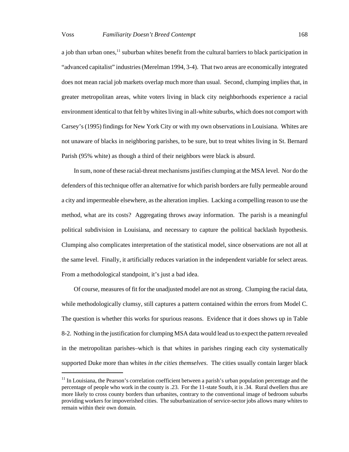a job than urban ones,<sup>11</sup> suburban whites benefit from the cultural barriers to black participation in "advanced capitalist" industries (Merelman 1994, 3-4). That two areas are economically integrated does not mean racial job markets overlap much more than usual. Second, clumping implies that, in greater metropolitan areas, white voters living in black city neighborhoods experience a racial environment identical to that felt by whites living in all-white suburbs, which does not comport with Carsey's (1995) findings for New York City or with my own observations in Louisiana. Whites are not unaware of blacks in neighboring parishes, to be sure, but to treat whites living in St. Bernard

Parish (95% white) as though a third of their neighbors were black is absurd.

In sum, none of these racial-threat mechanisms justifies clumping at the MSA level. Nor do the defenders of this technique offer an alternative for which parish borders are fully permeable around a city and impermeable elsewhere, as the alteration implies. Lacking a compelling reason to use the method, what are its costs? Aggregating throws away information. The parish is a meaningful political subdivision in Louisiana, and necessary to capture the political backlash hypothesis. Clumping also complicates interpretation of the statistical model, since observations are not all at the same level. Finally, it artificially reduces variation in the independent variable for select areas. From a methodological standpoint, it's just a bad idea.

Of course, measures of fit for the unadjusted model are not as strong. Clumping the racial data, while methodologically clumsy, still captures a pattern contained within the errors from Model C. The question is whether this works for spurious reasons. Evidence that it does shows up in Table 8-2. Nothing in the justification for clumping MSA data would lead us to expect the pattern revealed in the metropolitan parishes–which is that whites in parishes ringing each city systematically supported Duke more than whites *in the cities themselves*. The cities usually contain larger black

 $11$  In Louisiana, the Pearson's correlation coefficient between a parish's urban population percentage and the percentage of people who work in the county is .23. For the 11-state South, it is .34. Rural dwellers thus are more likely to cross county borders than urbanites, contrary to the conventional image of bedroom suburbs providing workers for impoverished cities. The suburbanization of service-sector jobs allows many whites to remain within their own domain.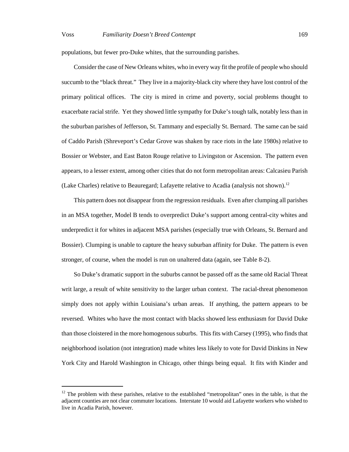populations, but fewer pro-Duke whites, that the surrounding parishes.

Consider the case of New Orleans whites, who in every way fit the profile of people who should succumb to the "black threat." They live in a majority-black city where they have lost control of the primary political offices. The city is mired in crime and poverty, social problems thought to exacerbate racial strife. Yet they showed little sympathy for Duke's tough talk, notably less than in the suburban parishes of Jefferson, St. Tammany and especially St. Bernard. The same can be said of Caddo Parish (Shreveport's Cedar Grove was shaken by race riots in the late 1980s) relative to Bossier or Webster, and East Baton Rouge relative to Livingston or Ascension. The pattern even appears, to a lesser extent, among other cities that do not form metropolitan areas: Calcasieu Parish (Lake Charles) relative to Beauregard; Lafayette relative to Acadia (analysis not shown).<sup>12</sup>

This pattern does not disappear from the regression residuals. Even after clumping all parishes in an MSA together, Model B tends to overpredict Duke's support among central-city whites and underpredict it for whites in adjacent MSA parishes (especially true with Orleans, St. Bernard and Bossier). Clumping is unable to capture the heavy suburban affinity for Duke. The pattern is even stronger, of course, when the model is run on unaltered data (again, see Table 8-2).

So Duke's dramatic support in the suburbs cannot be passed off as the same old Racial Threat writ large, a result of white sensitivity to the larger urban context. The racial-threat phenomenon simply does not apply within Louisiana's urban areas. If anything, the pattern appears to be reversed. Whites who have the most contact with blacks showed less enthusiasm for David Duke than those cloistered in the more homogenous suburbs. This fits with Carsey (1995), who finds that neighborhood isolation (not integration) made whites less likely to vote for David Dinkins in New York City and Harold Washington in Chicago, other things being equal. It fits with Kinder and

 $12$  The problem with these parishes, relative to the established "metropolitan" ones in the table, is that the adjacent counties are not clear commuter locations. Interstate 10 would aid Lafayette workers who wished to live in Acadia Parish, however.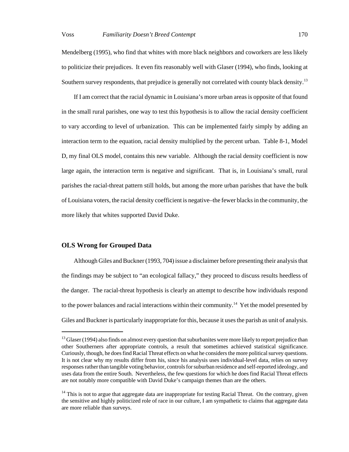Mendelberg (1995), who find that whites with more black neighbors and coworkers are less likely to politicize their prejudices. It even fits reasonably well with Glaser (1994), who finds, looking at Southern survey respondents, that prejudice is generally not correlated with county black density.<sup>13</sup>

If I am correct that the racial dynamic in Louisiana's more urban areas is opposite of that found in the small rural parishes, one way to test this hypothesis is to allow the racial density coefficient to vary according to level of urbanization. This can be implemented fairly simply by adding an interaction term to the equation, racial density multiplied by the percent urban. Table 8-1, Model D, my final OLS model, contains this new variable. Although the racial density coefficient is now large again, the interaction term is negative and significant. That is, in Louisiana's small, rural parishes the racial-threat pattern still holds, but among the more urban parishes that have the bulk of Louisiana voters, the racial density coefficient is negative–the fewer blacks in the community, the more likely that whites supported David Duke.

# **OLS Wrong for Grouped Data**

Although Giles and Buckner (1993, 704) issue a disclaimer before presenting their analysis that the findings may be subject to "an ecological fallacy," they proceed to discuss results heedless of the danger. The racial-threat hypothesis is clearly an attempt to describe how individuals respond to the power balances and racial interactions within their community.<sup>14</sup> Yet the model presented by Giles and Buckner is particularly inappropriate for this, because it uses the parish as unit of analysis.

<sup>&</sup>lt;sup>13</sup> Glaser (1994) also finds on almost every question that suburbanites were more likely to report prejudice than other Southerners after appropriate controls, a result that sometimes achieved statistical significance. Curiously, though, he does find Racial Threat effects on what he considers the more political survey questions. It is not clear why my results differ from his, since his analysis uses individual-level data, relies on survey responses rather than tangible voting behavior, controls for suburban residence and self-reported ideology, and uses data from the entire South. Nevertheless, the few questions for which he does find Racial Threat effects are not notably more compatible with David Duke's campaign themes than are the others.

<sup>&</sup>lt;sup>14</sup> This is not to argue that aggregate data are inappropriate for testing Racial Threat. On the contrary, given the sensitive and highly politicized role of race in our culture, I am sympathetic to claims that aggregate data are more reliable than surveys.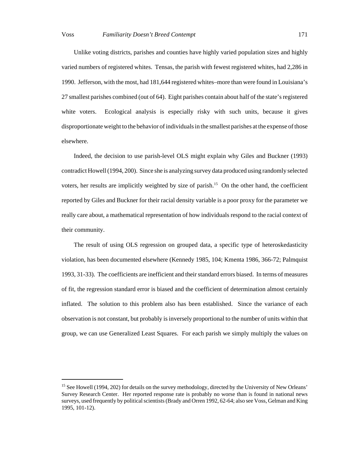Unlike voting districts, parishes and counties have highly varied population sizes and highly varied numbers of registered whites. Tensas, the parish with fewest registered whites, had 2,286 in 1990. Jefferson, with the most, had 181,644 registered whites–more than were found in Louisiana's 27 smallest parishes combined (out of 64). Eight parishes contain about half of the state's registered white voters. Ecological analysis is especially risky with such units, because it gives disproportionate weight to the behavior of individuals in the smallest parishes at the expense of those elsewhere.

Indeed, the decision to use parish-level OLS might explain why Giles and Buckner (1993) contradict Howell (1994, 200). Since she is analyzing survey data produced using randomly selected voters, her results are implicitly weighted by size of parish.<sup>15</sup> On the other hand, the coefficient reported by Giles and Buckner for their racial density variable is a poor proxy for the parameter we really care about, a mathematical representation of how individuals respond to the racial context of their community.

The result of using OLS regression on grouped data, a specific type of heteroskedasticity violation, has been documented elsewhere (Kennedy 1985, 104; Kmenta 1986, 366-72; Palmquist 1993, 31-33). The coefficients are inefficient and their standard errors biased. In terms of measures of fit, the regression standard error is biased and the coefficient of determination almost certainly inflated. The solution to this problem also has been established. Since the variance of each observation is not constant, but probably is inversely proportional to the number of units within that group, we can use Generalized Least Squares. For each parish we simply multiply the values on

<sup>&</sup>lt;sup>15</sup> See Howell (1994, 202) for details on the survey methodology, directed by the University of New Orleans' Survey Research Center. Her reported response rate is probably no worse than is found in national news surveys, used frequently by political scientists (Brady and Orren 1992, 62-64; also see Voss, Gelman and King 1995, 101-12).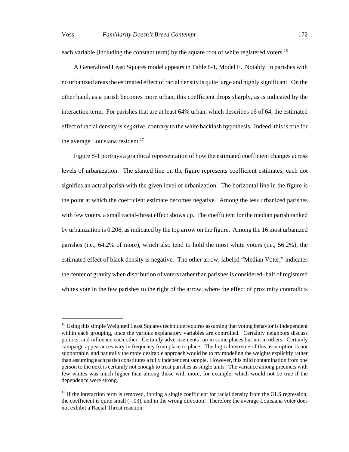each variable (including the constant term) by the square root of white registered voters.<sup>16</sup>

A Generalized Least Squares model appears in Table 8-1, Model E. Notably, in parishes with no urbanized areas the estimated effect of racial density is quite large and highly significant. On the other hand, as a parish becomes more urban, this coefficient drops sharply, as is indicated by the interaction term. For parishes that are at least 64% urban, which describes 16 of 64, the estimated effect of racial density is *negative*, contrary to the white backlash hypothesis. Indeed, this is true for the average Louisiana resident.<sup>17</sup>

Figure 8-1 portrays a graphical representation of how the estimated coefficient changes across levels of urbanization. The slanted line on the figure represents coefficient estimates; each dot signifies an actual parish with the given level of urbanization. The horizontal line in the figure is the point at which the coefficient estimate becomes negative. Among the less urbanized parishes with few voters, a small racial-threat effect shows up. The coefficient for the median parish ranked by urbanization is 0.206, as indicated by the top arrow on the figure. Among the 16 most urbanized parishes (i.e., 64.2% of more), which also tend to hold the most white voters (i.e., 56.2%), the estimated effect of black density is negative. The other arrow, labeled "Median Voter," indicates the center of gravity when distribution of voters rather than parishes is considered–half of registered whites vote in the few parishes to the right of the arrow, where the effect of proximity contradicts

<sup>&</sup>lt;sup>16</sup> Using this simple Weighted Least Squares technique requires assuming that voting behavior is independent within each grouping, once the various explanatory variables are controlled. Certainly neighbors discuss politics, and influence each other. Certainly advertisements run in some places but not in others. Certainly campaign appearances vary in frequency from place to place. The logical extreme of this assumption is not supportable, and naturally the more desirable approach would be to try modeling the weights explicitly rather than assuming each parish constitutes a fully independent sample. However, this mild contamination from one person to the next is certainly not enough to treat parishes as single units. The variance among precincts with few whites was much higher than among those with more, for example, which would not be true if the dependence were strong.

<sup>&</sup>lt;sup>17</sup> If the interaction term is removed, forcing a single coefficient for racial density from the GLS regression, the coefficient is quite small (–.03), and in the wrong direction! Therefore the average Louisiana voter does not exhibit a Racial Threat reaction.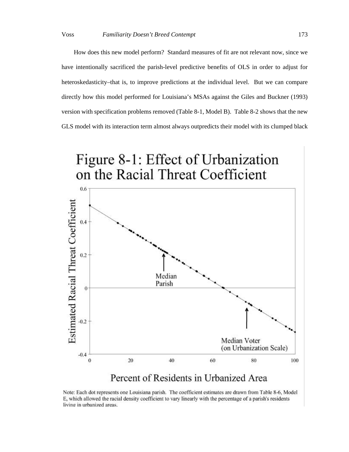How does this new model perform? Standard measures of fit are not relevant now, since we have intentionally sacrificed the parish-level predictive benefits of OLS in order to adjust for heteroskedasticity–that is, to improve predictions at the individual level. But we can compare directly how this model performed for Louisiana's MSAs against the Giles and Buckner (1993) version with specification problems removed (Table 8-1, Model B). Table 8-2 shows that the new GLS model with its interaction term almost always outpredicts their model with its clumped black



# Percent of Residents in Urbanized Area

Note: Each dot represents one Louisiana parish. The coefficient estimates are drawn from Table 8-6, Model E, which allowed the racial density coefficient to vary linearly with the percentage of a parish's residents living in urbanized areas.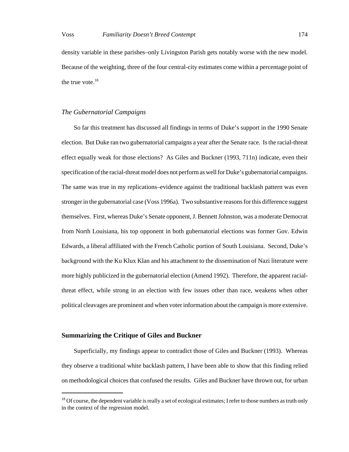density variable in these parishes–only Livingston Parish gets notably worse with the new model. Because of the weighting, three of the four central-city estimates come within a percentage point of the true vote. $18$ 

## *The Gubernatorial Campaigns*

So far this treatment has discussed all findings in terms of Duke's support in the 1990 Senate election. But Duke ran two gubernatorial campaigns a year after the Senate race. Is the racial-threat effect equally weak for those elections? As Giles and Buckner (1993, 711n) indicate, even their specification of the racial-threat model does not perform as well for Duke's gubernatorial campaigns. The same was true in my replications–evidence against the traditional backlash pattern was even stronger in the gubernatorial case (Voss 1996a). Two substantive reasons for this difference suggest themselves. First, whereas Duke's Senate opponent, J. Bennett Johnston, was a moderate Democrat from North Louisiana, his top opponent in both gubernatorial elections was former Gov. Edwin Edwards, a liberal affiliated with the French Catholic portion of South Louisiana. Second, Duke's background with the Ku Klux Klan and his attachment to the dissemination of Nazi literature were more highly publicized in the gubernatorial election (Amend 1992). Therefore, the apparent racialthreat effect, while strong in an election with few issues other than race, weakens when other political cleavages are prominent and when voter information about the campaign is more extensive.

# **Summarizing the Critique of Giles and Buckner**

Superficially, my findings appear to contradict those of Giles and Buckner (1993). Whereas they observe a traditional white backlash pattern, I have been able to show that this finding relied on methodological choices that confused the results. Giles and Buckner have thrown out, for urban

 $18$  Of course, the dependent variable is really a set of ecological estimates; I refer to those numbers as truth only in the context of the regression model.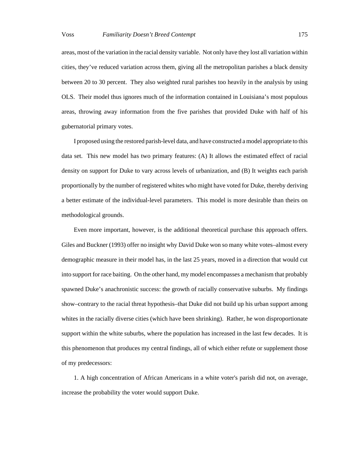areas, most of the variation in the racial density variable. Not only have they lost all variation within cities, they've reduced variation across them, giving all the metropolitan parishes a black density between 20 to 30 percent. They also weighted rural parishes too heavily in the analysis by using OLS. Their model thus ignores much of the information contained in Louisiana's most populous areas, throwing away information from the five parishes that provided Duke with half of his gubernatorial primary votes.

I proposed using the restored parish-level data, and have constructed a model appropriate to this data set. This new model has two primary features: (A) It allows the estimated effect of racial density on support for Duke to vary across levels of urbanization, and (B) It weights each parish proportionally by the number of registered whites who might have voted for Duke, thereby deriving a better estimate of the individual-level parameters. This model is more desirable than theirs on methodological grounds.

Even more important, however, is the additional theoretical purchase this approach offers. Giles and Buckner (1993) offer no insight why David Duke won so many white votes–almost every demographic measure in their model has, in the last 25 years, moved in a direction that would cut into support for race baiting. On the other hand, my model encompasses a mechanism that probably spawned Duke's anachronistic success: the growth of racially conservative suburbs. My findings show–contrary to the racial threat hypothesis–that Duke did not build up his urban support among whites in the racially diverse cities (which have been shrinking). Rather, he won disproportionate support within the white suburbs, where the population has increased in the last few decades. It is this phenomenon that produces my central findings, all of which either refute or supplement those of my predecessors:

1. A high concentration of African Americans in a white voter's parish did not, on average, increase the probability the voter would support Duke.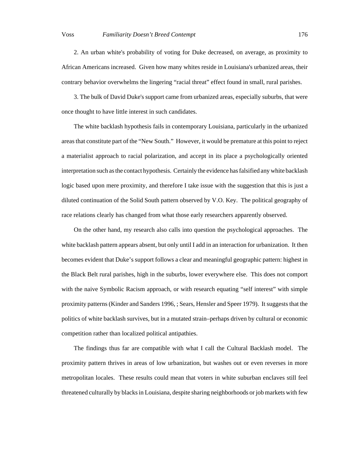2. An urban white's probability of voting for Duke decreased, on average, as proximity to African Americans increased. Given how many whites reside in Louisiana's urbanized areas, their contrary behavior overwhelms the lingering "racial threat" effect found in small, rural parishes.

3. The bulk of David Duke's support came from urbanized areas, especially suburbs, that were once thought to have little interest in such candidates.

The white backlash hypothesis fails in contemporary Louisiana, particularly in the urbanized areas that constitute part of the "New South." However, it would be premature at this point to reject a materialist approach to racial polarization, and accept in its place a psychologically oriented interpretation such as the contact hypothesis. Certainly the evidence has falsified any white backlash logic based upon mere proximity, and therefore I take issue with the suggestion that this is just a diluted continuation of the Solid South pattern observed by V.O. Key. The political geography of race relations clearly has changed from what those early researchers apparently observed.

On the other hand, my research also calls into question the psychological approaches. The white backlash pattern appears absent, but only until I add in an interaction for urbanization. It then becomes evident that Duke's support follows a clear and meaningful geographic pattern: highest in the Black Belt rural parishes, high in the suburbs, lower everywhere else. This does not comport with the naive Symbolic Racism approach, or with research equating "self interest" with simple proximity patterns (Kinder and Sanders 1996, ; Sears, Hensler and Speer 1979). It suggests that the politics of white backlash survives, but in a mutated strain–perhaps driven by cultural or economic competition rather than localized political antipathies.

The findings thus far are compatible with what I call the Cultural Backlash model. The proximity pattern thrives in areas of low urbanization, but washes out or even reverses in more metropolitan locales. These results could mean that voters in white suburban enclaves still feel threatened culturally by blacks in Louisiana, despite sharing neighborhoods or job markets with few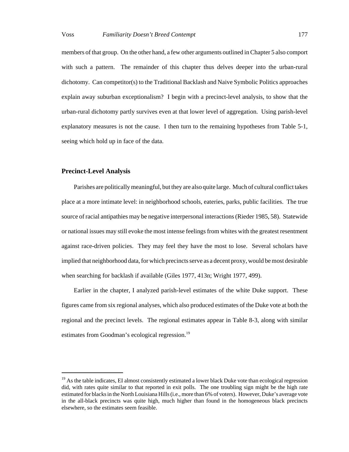members of that group. On the other hand, a few other arguments outlined in Chapter 5 also comport with such a pattern. The remainder of this chapter thus delves deeper into the urban-rural dichotomy. Can competitor(s) to the Traditional Backlash and Naive Symbolic Politics approaches explain away suburban exceptionalism? I begin with a precinct-level analysis, to show that the urban-rural dichotomy partly survives even at that lower level of aggregation. Using parish-level explanatory measures is not the cause. I then turn to the remaining hypotheses from Table 5-1, seeing which hold up in face of the data.

# **Precinct-Level Analysis**

Parishes are politically meaningful, but they are also quite large. Much of cultural conflict takes place at a more intimate level: in neighborhood schools, eateries, parks, public facilities. The true source of racial antipathies may be negative interpersonal interactions (Rieder 1985, 58). Statewide or national issues may still evoke the most intense feelings from whites with the greatest resentment against race-driven policies. They may feel they have the most to lose. Several scholars have implied that neighborhood data, for which precincts serve as a decent proxy, would be most desirable when searching for backlash if available (Giles 1977, 413n; Wright 1977, 499).

Earlier in the chapter, I analyzed parish-level estimates of the white Duke support. These figures came from six regional analyses, which also produced estimates of the Duke vote at both the regional and the precinct levels. The regional estimates appear in Table 8-3, along with similar estimates from Goodman's ecological regression.<sup>19</sup>

 $19$  As the table indicates, EI almost consistently estimated a lower black Duke vote than ecological regression did, with rates quite similar to that reported in exit polls. The one troubling sign might be the high rate estimated for blacks in the North Louisiana Hills (i.e., more than 6% of voters). However, Duke's average vote in the all-black precincts was quite high, much higher than found in the homogeneous black precincts elsewhere, so the estimates seem feasible.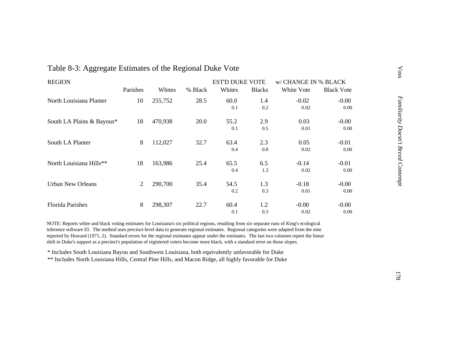| <b>REGION</b>             |          |         |         | <b>EST'D DUKE VOTE</b> |               | w/ CHANGE IN % BLACK |                   |
|---------------------------|----------|---------|---------|------------------------|---------------|----------------------|-------------------|
|                           | Parishes | Whites  | % Black | Whites                 | <b>Blacks</b> | White Vote           | <b>Black Vote</b> |
| North Louisiana Planter   | 10       | 255,752 | 28.5    | 60.0                   | 1.4           | $-0.02$              | $-0.00$           |
|                           |          |         |         | 0.1                    | 0.2           | 0.02                 | 0.00              |
| South LA Plains & Bayous* | 18       | 470,938 | 20.0    | 55.2                   | 2.9           | 0.03                 | $-0.00$           |
|                           |          |         |         | 0.1                    | 0.5           | 0.01                 | 0.00              |
| South LA Planter          | 8        | 112,027 | 32.7    | 63.4                   | 2.3           | 0.05                 | $-0.01$           |
|                           |          |         |         | 0.4                    | 0.8           | 0.02                 | 0.00              |
| North Louisiana Hills**   | 18       | 163,986 | 25.4    | 65.5                   | 6.5           | $-0.14$              | $-0.01$           |
|                           |          |         |         | 0.4                    | 1.3           | 0.02                 | 0.00              |
| <b>Urban New Orleans</b>  | 2        | 290,700 | 35.4    | 54.5                   | 1.3           | $-0.18$              | $-0.00$           |
|                           |          |         |         | 0.2                    | 0.3           | 0.01                 | 0.00              |
| <b>Florida Parishes</b>   | 8        | 298,307 | 22.7    | 60.4                   | 1.2           | $-0.00$              | $-0.00$           |
|                           |          |         |         | 0.1                    | 0.3           | 0.02                 | 0.00              |

# Table 8-3: Aggregate Estimates of the Regional Duke Vote

NOTE: Reports white and black voting estimates for Louisiana's six political regions, resulting from six separate runs of King's ecological inference software EI. The method uses precinct-level data to generate regional estimates. Regional categories were adapted from the nine reported by Howard (1971, 2). Standard errors for the regional estimates appear under the estimates. The last two columns report the linear shift in Duke's support as a precinct's population of registered voters become more black, with a standard error on those slopes.

\* Includes South Louisiana Bayou and Southwest Louisiana, both equivalently unfavorable for Duke

\*\* Includes North Louisiana Hills, Central Pine Hills, and Macon Ridge, all highly favorable for Duke

Voss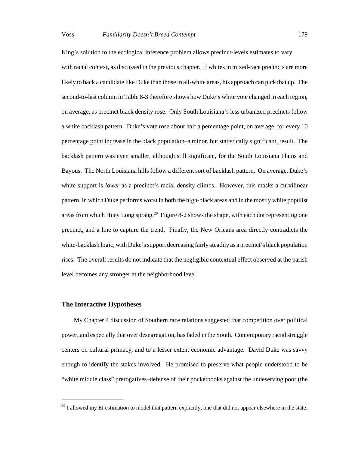King's solution to the ecological inference problem allows precinct-levels estimates to vary with racial context, as discussed in the previous chapter. If whites in mixed-race precincts are more likely to back a candidate like Duke than those in all-white areas, his approach can pick that up. The second-to-last column in Table 8-3 therefore shows how Duke's white vote changed in each region, on average, as precinct black density rose. Only South Louisiana's less urbanized precincts follow a white backlash pattern. Duke's vote rose about half a percentage point, on average, for every 10 percentage point increase in the black population–a minor, but statistically significant, result. The backlash pattern was even smaller, although still significant, for the South Louisiana Plains and Bayous. The North Louisiana hills follow a different sort of backlash pattern. On average, Duke's white support is *lower* as a precinct's racial density climbs. However, this masks a curvilinear pattern, in which Duke performs worst in both the high-black areas and in the mostly white populist areas from which Huey Long sprang.<sup>20</sup> Figure 8-2 shows the shape, with each dot representing one precinct, and a line to capture the trend. Finally, the New Orleans area directly contradicts the white-backlash logic, with Duke's support decreasing fairly steadily as a precinct's black population rises. The overall results do not indicate that the negligible contextual effect observed at the parish level becomes any stronger at the neighborhood level.

# **The Interactive Hypotheses**

My Chapter 4 discussion of Southern race relations suggested that competition over political power, and especially that over desegregation, has faded in the South. Contemporary racial struggle centers on cultural primacy, and to a lesser extent economic advantage. David Duke was savvy enough to identify the stakes involved. He promised to preserve what people understood to be "white middle class" prerogatives–defense of their pocketbooks against the undeserving poor (the

 $20$  I allowed my EI estimation to model that pattern explicitly, one that did not appear elsewhere in the state.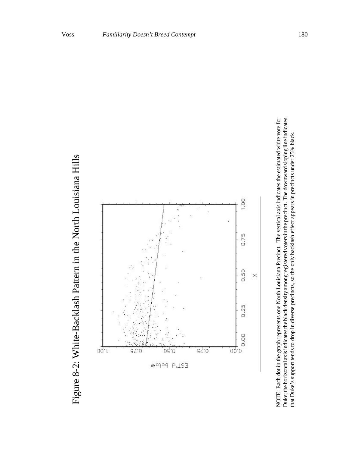



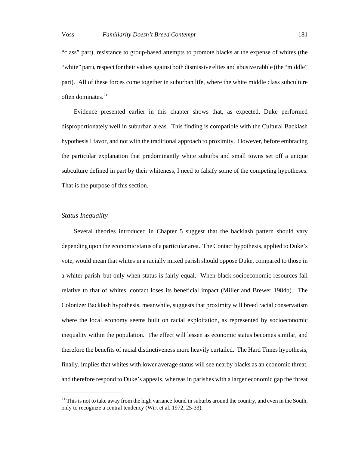"class" part), resistance to group-based attempts to promote blacks at the expense of whites (the "white" part), respect for their values against both dismissive elites and abusive rabble (the "middle" part). All of these forces come together in suburban life, where the white middle class subculture often dominates. $21$ 

Evidence presented earlier in this chapter shows that, as expected, Duke performed disproportionately well in suburban areas. This finding is compatible with the Cultural Backlash hypothesis I favor, and not with the traditional approach to proximity. However, before embracing the particular explanation that predominantly white suburbs and small towns set off a unique subculture defined in part by their whiteness, I need to falsify some of the competing hypotheses. That is the purpose of this section.

## *Status Inequality*

Several theories introduced in Chapter 5 suggest that the backlash pattern should vary depending upon the economic status of a particular area. The Contact hypothesis, applied to Duke's vote, would mean that whites in a racially mixed parish should oppose Duke, compared to those in a whiter parish–but only when status is fairly equal. When black socioeconomic resources fall relative to that of whites, contact loses its beneficial impact (Miller and Brewer 1984b). The Colonizer Backlash hypothesis, meanwhile, suggests that proximity will breed racial conservatism where the local economy seems built on racial exploitation, as represented by socioeconomic inequality within the population. The effect will lessen as economic status becomes similar, and therefore the benefits of racial distinctiveness more heavily curtailed. The Hard Times hypothesis, finally, implies that whites with lower average status will see nearby blacks as an economic threat, and therefore respond to Duke's appeals, whereas in parishes with a larger economic gap the threat

 $21$  This is not to take away from the high variance found in suburbs around the country, and even in the South, only to recognize a central tendency (Wirt et al. 1972, 25-33).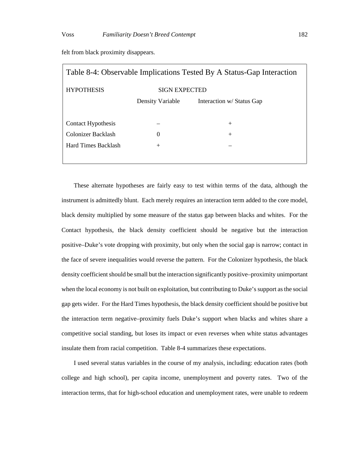| Table 8-4: Observable Implications Tested By A Status-Gap Interaction |                      |                           |  |  |  |  |  |
|-----------------------------------------------------------------------|----------------------|---------------------------|--|--|--|--|--|
| <b>HYPOTHESIS</b>                                                     | <b>SIGN EXPECTED</b> |                           |  |  |  |  |  |
|                                                                       | Density Variable     | Interaction w/ Status Gap |  |  |  |  |  |
|                                                                       |                      |                           |  |  |  |  |  |
| Contact Hypothesis                                                    |                      | $^{+}$                    |  |  |  |  |  |
| Colonizer Backlash                                                    | $\Omega$             | $^{+}$                    |  |  |  |  |  |
| <b>Hard Times Backlash</b>                                            | $+$                  |                           |  |  |  |  |  |
|                                                                       |                      |                           |  |  |  |  |  |

felt from black proximity disappears.

These alternate hypotheses are fairly easy to test within terms of the data, although the instrument is admittedly blunt. Each merely requires an interaction term added to the core model, black density multiplied by some measure of the status gap between blacks and whites. For the Contact hypothesis, the black density coefficient should be negative but the interaction positive–Duke's vote dropping with proximity, but only when the social gap is narrow; contact in the face of severe inequalities would reverse the pattern. For the Colonizer hypothesis, the black density coefficient should be small but the interaction significantly positive–proximity unimportant when the local economy is not built on exploitation, but contributing to Duke's support as the social gap gets wider. For the Hard Times hypothesis, the black density coefficient should be positive but the interaction term negative–proximity fuels Duke's support when blacks and whites share a competitive social standing, but loses its impact or even reverses when white status advantages insulate them from racial competition. Table 8-4 summarizes these expectations.

I used several status variables in the course of my analysis, including: education rates (both college and high school), per capita income, unemployment and poverty rates. Two of the interaction terms, that for high-school education and unemployment rates, were unable to redeem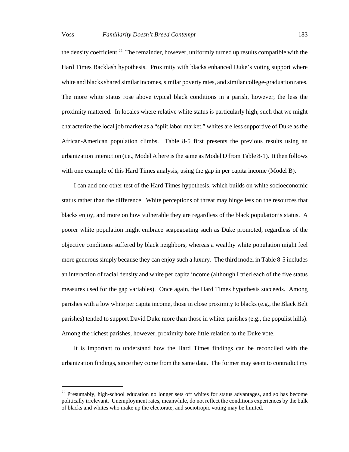the density coefficient.<sup>22</sup> The remainder, however, uniformly turned up results compatible with the Hard Times Backlash hypothesis. Proximity with blacks enhanced Duke's voting support where white and blacks shared similar incomes, similar poverty rates, and similar college-graduation rates. The more white status rose above typical black conditions in a parish, however, the less the proximity mattered. In locales where relative white status is particularly high, such that we might characterize the local job market as a "split labor market," whites are less supportive of Duke as the African-American population climbs. Table 8-5 first presents the previous results using an urbanization interaction (i.e., Model A here is the same as Model D from Table 8-1). It then follows with one example of this Hard Times analysis, using the gap in per capita income (Model B).

I can add one other test of the Hard Times hypothesis, which builds on white socioeconomic status rather than the difference. White perceptions of threat may hinge less on the resources that blacks enjoy, and more on how vulnerable they are regardless of the black population's status. A poorer white population might embrace scapegoating such as Duke promoted, regardless of the objective conditions suffered by black neighbors, whereas a wealthy white population might feel more generous simply because they can enjoy such a luxury. The third model in Table 8-5 includes an interaction of racial density and white per capita income (although I tried each of the five status measures used for the gap variables). Once again, the Hard Times hypothesis succeeds. Among parishes with a low white per capita income, those in close proximity to blacks (e.g., the Black Belt parishes) tended to support David Duke more than those in whiter parishes (e.g., the populist hills). Among the richest parishes, however, proximity bore little relation to the Duke vote.

It is important to understand how the Hard Times findings can be reconciled with the urbanization findings, since they come from the same data. The former may seem to contradict my

 $22$  Presumably, high-school education no longer sets off whites for status advantages, and so has become politically irrelevant. Unemployment rates, meanwhile, do not reflect the conditions experiences by the bulk of blacks and whites who make up the electorate, and sociotropic voting may be limited.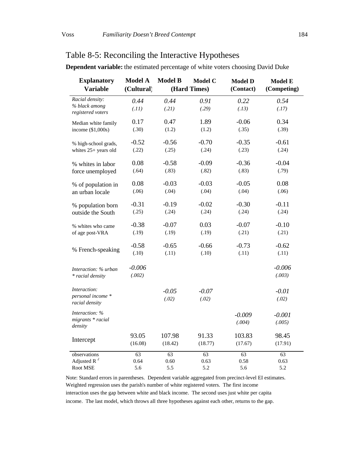# Table 8-5: Reconciling the Interactive Hypotheses

| <b>Model A</b> | <b>Model B</b>                | <b>Model C</b>                | <b>Model D</b>                | <b>Model E</b>                |
|----------------|-------------------------------|-------------------------------|-------------------------------|-------------------------------|
| (Cultural)     | (Hard Times)                  |                               | (Contact)                     | (Competing)                   |
| 0.44           | 0.44                          | 0.91                          | 0.22                          | 0.54                          |
| (.11)          | (.21)                         | (.29)                         | (.13)                         | (.17)                         |
| 0.17           | 0.47                          | 1.89                          | $-0.06$                       | 0.34                          |
|                |                               |                               |                               | (.39)                         |
| $-0.52$        | $-0.56$                       | $-0.70$                       | $-0.35$                       | $-0.61$                       |
| (.22)          | (.25)                         | (.24)                         | (.23)                         | (.24)                         |
| 0.08           | $-0.58$                       | $-0.09$                       | $-0.36$                       | $-0.04$                       |
|                |                               |                               |                               | (.79)                         |
| 0.08           | $-0.03$                       | $-0.03$                       | $-0.05$                       | 0.08                          |
| (.06)          | (.04)                         | (.04)                         | (.04)                         | (.06)                         |
| $-0.31$        | $-0.19$                       | $-0.02$                       | $-0.30$                       | $-0.11$                       |
| (.25)          | (.24)                         | (.24)                         | (.24)                         | (.24)                         |
| $-0.38$        | $-0.07$                       | 0.03                          | $-0.07$                       | $-0.10$                       |
| (.19)          | (.19)                         | (.19)                         | (.21)                         | (.21)                         |
| $-0.58$        | $-0.65$                       | $-0.66$                       | $-0.73$                       | $-0.62$                       |
| (.10)          | (.11)                         | (.10)                         | (.11)                         | (.11)                         |
| $-0.006$       |                               |                               |                               | $-0.006$                      |
| (.002)         |                               |                               |                               | (.003)                        |
|                | $-0.05$                       | $-0.07$                       |                               | $-0.01$                       |
|                | (.02)                         | (.02)                         |                               | (.02)                         |
|                |                               |                               | $-0.009$                      | $-0.001$                      |
|                |                               |                               | (.004)                        | (.005)                        |
| 93.05          | 107.98                        | 91.33                         | 103.83                        | 98.45                         |
| (16.08)        | (18.42)                       | (18.77)                       | (17.67)                       | (17.91)                       |
| 63             | 63                            | 63                            | 63                            | 63                            |
|                |                               |                               |                               | 0.63<br>5.2                   |
|                | (.30)<br>(.64)<br>0.64<br>5.6 | (1.2)<br>(.83)<br>0.60<br>5.5 | (1.2)<br>(.82)<br>0.63<br>5.2 | (.35)<br>(.83)<br>0.58<br>5.6 |

**Dependent variable:** the estimated percentage of white voters choosing David Duke

Note: Standard errors in parentheses. Dependent variable aggregated from precinct-level EI estimates. Weighted regression uses the parish's number of white registered voters. The first income interaction uses the gap between white and black income. The second uses just white per capita income. The last model, which throws all three hypotheses against each other, returns to the gap.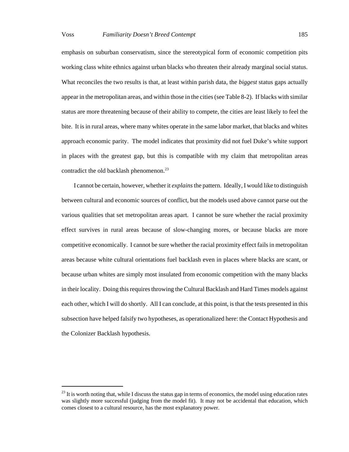emphasis on suburban conservatism, since the stereotypical form of economic competition pits working class white ethnics against urban blacks who threaten their already marginal social status. What reconciles the two results is that, at least within parish data, the *biggest* status gaps actually appear in the metropolitan areas, and within those in the cities (see Table 8-2). If blacks with similar status are more threatening because of their ability to compete, the cities are least likely to feel the bite. It is in rural areas, where many whites operate in the same labor market, that blacks and whites approach economic parity. The model indicates that proximity did not fuel Duke's white support in places with the greatest gap, but this is compatible with my claim that metropolitan areas contradict the old backlash phenomenon.<sup>23</sup>

I cannot be certain, however, whether it *explains* the pattern. Ideally, I would like to distinguish between cultural and economic sources of conflict, but the models used above cannot parse out the various qualities that set metropolitan areas apart. I cannot be sure whether the racial proximity effect survives in rural areas because of slow-changing mores, or because blacks are more competitive economically. I cannot be sure whether the racial proximity effect fails in metropolitan areas because white cultural orientations fuel backlash even in places where blacks are scant, or because urban whites are simply most insulated from economic competition with the many blacks in their locality. Doing this requires throwing the Cultural Backlash and Hard Times models against each other, which I will do shortly. All I can conclude, at this point, is that the tests presented in this subsection have helped falsify two hypotheses, as operationalized here: the Contact Hypothesis and the Colonizer Backlash hypothesis.

 $^{23}$  It is worth noting that, while I discuss the status gap in terms of economics, the model using education rates was slightly more successful (judging from the model fit). It may not be accidental that education, which comes closest to a cultural resource, has the most explanatory power.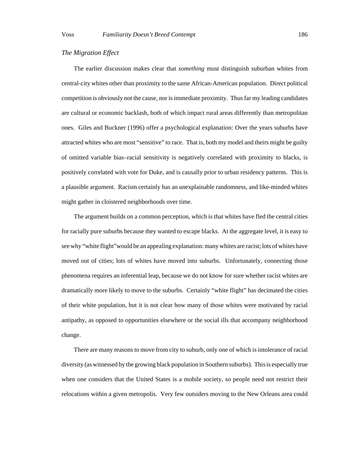# *The Migration Effect*

The earlier discussion makes clear that *something* must distinguish suburban whites from central-city whites other than proximity to the same African-American population. Direct political competition is obviously not the cause, nor is immediate proximity. Thus far my leading candidates are cultural or economic backlash, both of which impact rural areas differently than metropolitan ones. Giles and Buckner (1996) offer a psychological explanation: Over the years suburbs have attracted whites who are most "sensitive" to race. That is, both my model and theirs might be guilty of omitted variable bias–racial sensitivity is negatively correlated with proximity to blacks, is positively correlated with vote for Duke, and is causally prior to urban residency patterns. This is a plausible argument. Racism certainly has an unexplainable randomness, and like-minded whites might gather in cloistered neighborhoods over time.

The argument builds on a common perception, which is that whites have fled the central cities for racially pure suburbs because they wanted to escape blacks. At the aggregate level, it is easy to see why "white flight"would be an appealing explanation: many whites are racist; lots of whites have moved out of cities; lots of whites have moved into suburbs. Unfortunately, connecting those phenomena requires an inferential leap, because we do not know for sure whether racist whites are dramatically more likely to move to the suburbs. Certainly "white flight" has decimated the cities of their white population, but it is not clear how many of those whites were motivated by racial antipathy, as opposed to opportunities elsewhere or the social ills that accompany neighborhood change.

There are many reasons to move from city to suburb, only one of which is intolerance of racial diversity (as witnessed by the growing black population in Southern suburbs). This is especially true when one considers that the United States is a mobile society, so people need not restrict their relocations within a given metropolis. Very few outsiders moving to the New Orleans area could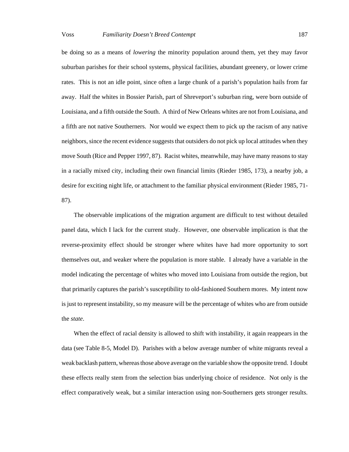be doing so as a means of *lowering* the minority population around them, yet they may favor suburban parishes for their school systems, physical facilities, abundant greenery, or lower crime rates. This is not an idle point, since often a large chunk of a parish's population hails from far away. Half the whites in Bossier Parish, part of Shreveport's suburban ring, were born outside of Louisiana, and a fifth outside the South. A third of New Orleans whites are not from Louisiana, and a fifth are not native Southerners. Nor would we expect them to pick up the racism of any native neighbors, since the recent evidence suggests that outsiders do not pick up local attitudes when they move South (Rice and Pepper 1997, 87). Racist whites, meanwhile, may have many reasons to stay in a racially mixed city, including their own financial limits (Rieder 1985, 173), a nearby job, a desire for exciting night life, or attachment to the familiar physical environment (Rieder 1985, 71-

87).

The observable implications of the migration argument are difficult to test without detailed panel data, which I lack for the current study. However, one observable implication is that the reverse-proximity effect should be stronger where whites have had more opportunity to sort themselves out, and weaker where the population is more stable. I already have a variable in the model indicating the percentage of whites who moved into Louisiana from outside the region, but that primarily captures the parish's susceptibility to old-fashioned Southern mores. My intent now is just to represent instability, so my measure will be the percentage of whites who are from outside the *state*.

When the effect of racial density is allowed to shift with instability, it again reappears in the data (see Table 8-5, Model D). Parishes with a below average number of white migrants reveal a weak backlash pattern, whereas those above average on the variable show the opposite trend. I doubt these effects really stem from the selection bias underlying choice of residence. Not only is the effect comparatively weak, but a similar interaction using non-Southerners gets stronger results.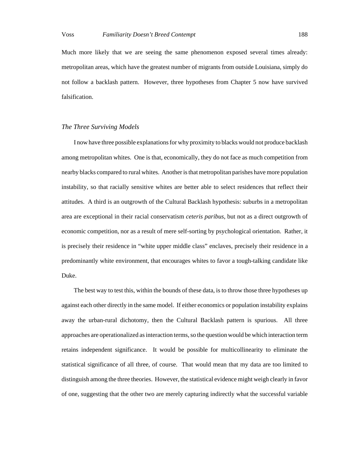Much more likely that we are seeing the same phenomenon exposed several times already: metropolitan areas, which have the greatest number of migrants from outside Louisiana, simply do not follow a backlash pattern. However, three hypotheses from Chapter 5 now have survived falsification.

# *The Three Surviving Models*

I now have three possible explanations for why proximity to blacks would not produce backlash among metropolitan whites. One is that, economically, they do not face as much competition from nearby blacks compared to rural whites. Another is that metropolitan parishes have more population instability, so that racially sensitive whites are better able to select residences that reflect their attitudes. A third is an outgrowth of the Cultural Backlash hypothesis: suburbs in a metropolitan area are exceptional in their racial conservatism *ceteris paribus*, but not as a direct outgrowth of economic competition, nor as a result of mere self-sorting by psychological orientation. Rather, it is precisely their residence in "white upper middle class" enclaves, precisely their residence in a predominantly white environment, that encourages whites to favor a tough-talking candidate like Duke.

The best way to test this, within the bounds of these data, is to throw those three hypotheses up against each other directly in the same model. If either economics or population instability explains away the urban-rural dichotomy, then the Cultural Backlash pattern is spurious. All three approaches are operationalized as interaction terms, so the question would be which interaction term retains independent significance. It would be possible for multicollinearity to eliminate the statistical significance of all three, of course. That would mean that my data are too limited to distinguish among the three theories. However, the statistical evidence might weigh clearly in favor of one, suggesting that the other two are merely capturing indirectly what the successful variable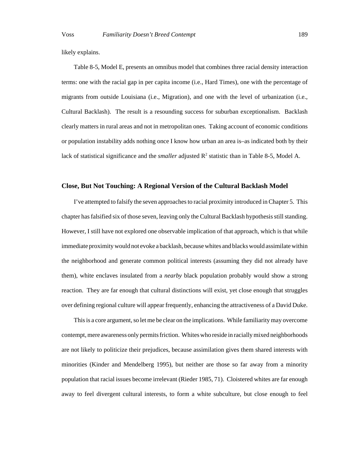likely explains.

Table 8-5, Model E, presents an omnibus model that combines three racial density interaction terms: one with the racial gap in per capita income (i.e., Hard Times), one with the percentage of migrants from outside Louisiana (i.e., Migration), and one with the level of urbanization (i.e., Cultural Backlash). The result is a resounding success for suburban exceptionalism. Backlash clearly matters in rural areas and not in metropolitan ones. Taking account of economic conditions or population instability adds nothing once I know how urban an area is–as indicated both by their lack of statistical significance and the *smaller* adjusted  $R^2$  statistic than in Table 8-5, Model A.

# **Close, But Not Touching: A Regional Version of the Cultural Backlash Model**

I've attempted to falsify the seven approaches to racial proximity introduced in Chapter 5. This chapter has falsified six of those seven, leaving only the Cultural Backlash hypothesis still standing. However, I still have not explored one observable implication of that approach, which is that while immediate proximity would not evoke a backlash, because whites and blacks would assimilate within the neighborhood and generate common political interests (assuming they did not already have them), white enclaves insulated from a *nearby* black population probably would show a strong reaction. They are far enough that cultural distinctions will exist, yet close enough that struggles over defining regional culture will appear frequently, enhancing the attractiveness of a David Duke.

This is a core argument, so let me be clear on the implications. While familiarity may overcome contempt, mere awareness only permits friction. Whites who reside in racially mixed neighborhoods are not likely to politicize their prejudices, because assimilation gives them shared interests with minorities (Kinder and Mendelberg 1995), but neither are those so far away from a minority population that racial issues become irrelevant (Rieder 1985, 71). Cloistered whites are far enough away to feel divergent cultural interests, to form a white subculture, but close enough to feel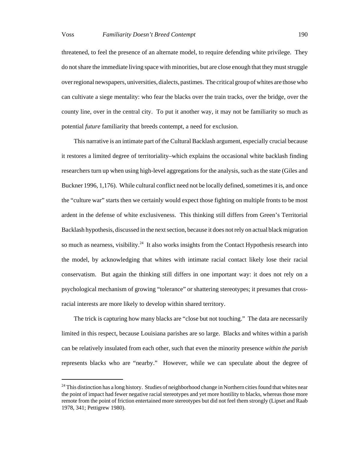threatened, to feel the presence of an alternate model, to require defending white privilege. They do not share the immediate living space with minorities, but are close enough that they must struggle over regional newspapers, universities, dialects, pastimes. The critical group of whites are those who can cultivate a siege mentality: who fear the blacks over the train tracks, over the bridge, over the county line, over in the central city. To put it another way, it may not be familiarity so much as potential *future* familiarity that breeds contempt, a need for exclusion.

This narrative is an intimate part of the Cultural Backlash argument, especially crucial because it restores a limited degree of territoriality–which explains the occasional white backlash finding researchers turn up when using high-level aggregations for the analysis, such as the state (Giles and Buckner 1996, 1,176). While cultural conflict need not be locally defined, sometimes it is, and once the "culture war" starts then we certainly would expect those fighting on multiple fronts to be most ardent in the defense of white exclusiveness. This thinking still differs from Green's Territorial Backlash hypothesis, discussed in the next section, because it does not rely on actual black migration so much as nearness, visibility.<sup>24</sup> It also works insights from the Contact Hypothesis research into the model, by acknowledging that whites with intimate racial contact likely lose their racial conservatism. But again the thinking still differs in one important way: it does not rely on a psychological mechanism of growing "tolerance" or shattering stereotypes; it presumes that crossracial interests are more likely to develop within shared territory.

The trick is capturing how many blacks are "close but not touching." The data are necessarily limited in this respect, because Louisiana parishes are so large. Blacks and whites within a parish can be relatively insulated from each other, such that even the minority presence *within the parish* represents blacks who are "nearby." However, while we can speculate about the degree of

<sup>&</sup>lt;sup>24</sup> This distinction has a long history. Studies of neighborhood change in Northern cities found that whites near the point of impact had fewer negative racial stereotypes and yet more hostility to blacks, whereas those more remote from the point of friction entertained more stereotypes but did not feel them strongly (Lipset and Raab 1978, 341; Pettigrew 1980).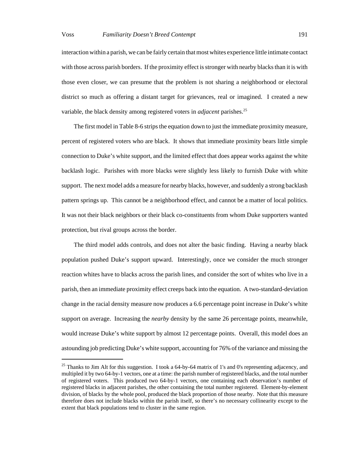interaction within a parish, we can be fairly certain that most whites experience little intimate contact with those across parish borders. If the proximity effect is stronger with nearby blacks than it is with those even closer, we can presume that the problem is not sharing a neighborhood or electoral district so much as offering a distant target for grievances, real or imagined. I created a new variable, the black density among registered voters in *adjacent* parishes.<sup>25</sup>

The first model in Table 8-6 strips the equation down to just the immediate proximity measure, percent of registered voters who are black. It shows that immediate proximity bears little simple connection to Duke's white support, and the limited effect that does appear works against the white backlash logic. Parishes with more blacks were slightly less likely to furnish Duke with white support. The next model adds a measure for nearby blacks, however, and suddenly a strong backlash pattern springs up. This cannot be a neighborhood effect, and cannot be a matter of local politics. It was not their black neighbors or their black co-constituents from whom Duke supporters wanted protection, but rival groups across the border.

The third model adds controls, and does not alter the basic finding. Having a nearby black population pushed Duke's support upward. Interestingly, once we consider the much stronger reaction whites have to blacks across the parish lines, and consider the sort of whites who live in a parish, then an immediate proximity effect creeps back into the equation. A two-standard-deviation change in the racial density measure now produces a 6.6 percentage point increase in Duke's white support on average. Increasing the *nearby* density by the same 26 percentage points, meanwhile, would increase Duke's white support by almost 12 percentage points. Overall, this model does an astounding job predicting Duke's white support, accounting for 76% of the variance and missing the

<sup>&</sup>lt;sup>25</sup> Thanks to Jim Alt for this suggestion. I took a 64-by-64 matrix of 1's and 0's representing adjacency, and multipled it by two 64-by-1 vectors, one at a time: the parish number of registered blacks, and the total number of registered voters. This produced two 64-by-1 vectors, one containing each observation's number of registered blacks in adjacent parishes, the other containing the total number registered. Element-by-element division, of blacks by the whole pool, produced the black proportion of those nearby. Note that this measure therefore does not include blacks within the parish itself, so there's no necessary collinearity except to the extent that black populations tend to cluster in the same region.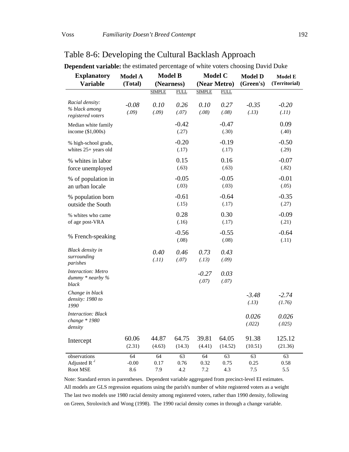### **(Near Metro) Model C (Nearness) Model B** *registered voters % black among Racial density:*  income (\$1,000s) Median white family whites 25+ years old % high-school grads, force unemployed % whites in labor an urban locale % of population in outside the South % population born of age post-VRA % whites who came % French-speaking *parishes surrounding Black density in black dummy \* nearby % Interaction: Metro 1990 density: 1980 to Change in black density change \* 1980 Interaction: Black* Intercept **(Territorial) Model E (Green's) Model D (Total) Model A Variable Explanatory** SIMPLE FULL SIMPLE FULL *-0.08 0.10 0.26 0.10 0.27 -0.35 -0.20 (.09) (.09) (.07) (.08) (.08) (.13) (.11)* -0.42 -0.47 0.09  $(.27)$   $(.30)$   $(.40)$  $-0.20$   $-0.19$   $-0.50$  $(.17)$   $(.17)$   $(.29)$ 0.15 0.16 -0.07  $(.63)$   $(.63)$   $(.82)$ -0.05 -0.05 -0.01  $(.03)$   $(.03)$   $(.05)$  $-0.61$   $-0.64$   $-0.35$  $(.15)$   $(.17)$   $(.27)$  $0.28$   $0.30$   $-0.09$  $(.16)$   $(.17)$   $(.21)$ -0.56 -0.55 -0.64  $(.08)$   $(.08)$   $(.11)$ *0.40 0.46 0.73 0.43 (.11) (.07) (.13) (.09) -0.27 0.03 (.07) (.07) -3.48 -2.74 (.13) (1.76) 0.026 0.026 (.022) (.025)* 60.06 44.87 64.75 39.81 64.05 91.38 125.12  $(2.31)$   $(4.63)$   $(14.3)$   $(4.41)$   $(14.52)$   $(10.51)$   $(21.36)$ observations 64 64 63 64 63 63 63 Adjusted R  $^2$   $-0.00$   $0.17$   $0.76$   $0.32$   $0.75$   $0.25$   $0.58$ Root MSE 8.6 7.9 4.2 7.2 4.3 7.5 5.5

# Table 8-6: Developing the Cultural Backlash Approach

**Dependent variable:** the estimated percentage of white voters choosing David Duke

Note: Standard errors in parentheses. Dependent variable aggregated from precinct-level EI estimates. All models are GLS regression equations using the parish's number of white registered voters as a weight The last two models use 1980 racial density among registered voters, rather than 1990 density, following on Green, Strolovitch and Wong (1998). The 1990 racial density comes in through a change variable.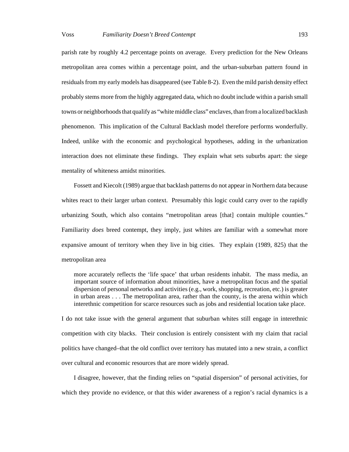parish rate by roughly 4.2 percentage points on average. Every prediction for the New Orleans metropolitan area comes within a percentage point, and the urban-suburban pattern found in residuals from my early models has disappeared (see Table 8-2). Even the mild parish density effect probably stems more from the highly aggregated data, which no doubt include within a parish small towns or neighborhoods that qualify as "white middle class" enclaves, than from a localized backlash phenomenon. This implication of the Cultural Backlash model therefore performs wonderfully. Indeed, unlike with the economic and psychological hypotheses, adding in the urbanization interaction does not eliminate these findings. They explain what sets suburbs apart: the siege mentality of whiteness amidst minorities.

Fossett and Kiecolt (1989) argue that backlash patterns do not appear in Northern data because whites react to their larger urban context. Presumably this logic could carry over to the rapidly urbanizing South, which also contains "metropolitan areas [that] contain multiple counties." Familiarity *does* breed contempt, they imply, just whites are familiar with a somewhat more expansive amount of territory when they live in big cities. They explain (1989, 825) that the metropolitan area

more accurately reflects the 'life space' that urban residents inhabit. The mass media, an important source of information about minorities, have a metropolitan focus and the spatial dispersion of personal networks and activities (e.g., work, shopping, recreation, etc.) is greater in urban areas . . . The metropolitan area, rather than the county, is the arena within which interethnic competition for scarce resources such as jobs and residential location take place.

I do not take issue with the general argument that suburban whites still engage in interethnic competition with city blacks. Their conclusion is entirely consistent with my claim that racial politics have changed–that the old conflict over territory has mutated into a new strain, a conflict over cultural and economic resources that are more widely spread.

I disagree, however, that the finding relies on "spatial dispersion" of personal activities, for which they provide no evidence, or that this wider awareness of a region's racial dynamics is a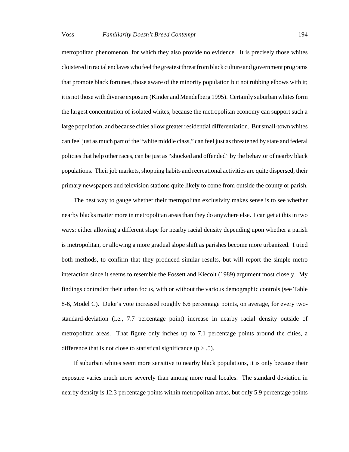metropolitan phenomenon, for which they also provide no evidence. It is precisely those whites cloistered in racial enclaves who feel the greatest threat from black culture and government programs that promote black fortunes, those aware of the minority population but not rubbing elbows with it; it is not those with diverse exposure (Kinder and Mendelberg 1995). Certainly suburban whites form the largest concentration of isolated whites, because the metropolitan economy can support such a large population, and because cities allow greater residential differentiation. But small-town whites can feel just as much part of the "white middle class," can feel just as threatened by state and federal policies that help other races, can be just as "shocked and offended" by the behavior of nearby black populations. Their job markets, shopping habits and recreational activities are quite dispersed; their primary newspapers and television stations quite likely to come from outside the county or parish.

The best way to gauge whether their metropolitan exclusivity makes sense is to see whether nearby blacks matter more in metropolitan areas than they do anywhere else. I can get at this in two ways: either allowing a different slope for nearby racial density depending upon whether a parish is metropolitan, or allowing a more gradual slope shift as parishes become more urbanized. I tried both methods, to confirm that they produced similar results, but will report the simple metro interaction since it seems to resemble the Fossett and Kiecolt (1989) argument most closely. My findings contradict their urban focus, with or without the various demographic controls (see Table 8-6, Model C). Duke's vote increased roughly 6.6 percentage points, on average, for every twostandard-deviation (i.e., 7.7 percentage point) increase in nearby racial density outside of metropolitan areas. That figure only inches up to 7.1 percentage points around the cities, a difference that is not close to statistical significance ( $p > .5$ ).

If suburban whites seem more sensitive to nearby black populations, it is only because their exposure varies much more severely than among more rural locales. The standard deviation in nearby density is 12.3 percentage points within metropolitan areas, but only 5.9 percentage points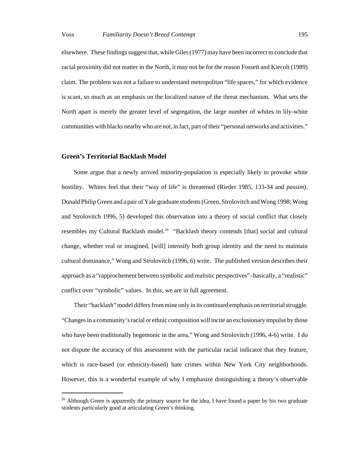elsewhere. These findings suggest that, while Giles (1977) may have been incorrect to conclude that racial proximity did not matter in the North, it may not be for the reason Fossett and Kiecolt (1989) claim. The problem was not a failure to understand metropolitan "life spaces," for which evidence is scant, so much as an emphasis on the localized nature of the threat mechanism. What sets the North apart is merely the greater level of segregation, the large number of whites in lily-white communities with blacks nearby who are *not*, in fact, part of their "personal networks and activities."

# **Green's Territorial Backlash Model**

Some argue that a newly arrived minority-population is especially likely to provoke white hostility. Whites feel that their "way of life" is threatened (Rieder 1985, 133-34 and *passim*). Donald Philip Green and a pair of Yale graduate students (Green, Strolovitch and Wong 1998; Wong and Strolovitch 1996, 5) developed this observation into a theory of social conflict that closely resembles my Cultural Backlash model.<sup>26</sup> "Backlash theory contends [that] social and cultural change, whether real or imagined, [will] intensify both group identity and the need to maintain cultural dominance," Wong and Strolovitch (1996, 6) write. The published version describes their approach as a "rapprochement between symbolic and realistic perspectives"–basically, a "realistic" conflict over "symbolic" values. In this, we are in full agreement.

Their "backlash" model differs from mine only in its continued emphasis on territorial struggle. "Changes in a community's racial or ethnic composition will incite an exclusionary impulse by those who have been traditionally hegemonic in the area," Wong and Strolovitch (1996, 4-6) write. I do not dispute the accuracy of this assessment with the particular racial indicator that they feature, which is race-based (or ethnicity-based) hate crimes within New York City neighborhoods. However, this is a wonderful example of why I emphasize distinguishing a theory's observable

<sup>&</sup>lt;sup>26</sup> Although Green is apparently the primary source for the idea, I have found a paper by his two graduate students particularly good at articulating Green's thinking.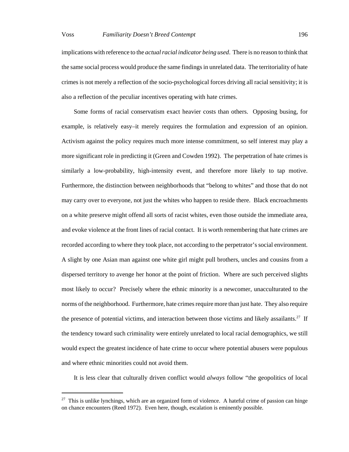implications with reference to the *actual racial indicator being used*. There is no reason to think that the same social process would produce the same findings in unrelated data. The territoriality of hate crimes is not merely a reflection of the socio-psychological forces driving all racial sensitivity; it is also a reflection of the peculiar incentives operating with hate crimes.

Some forms of racial conservatism exact heavier costs than others. Opposing busing, for example, is relatively easy–it merely requires the formulation and expression of an opinion. Activism against the policy requires much more intense commitment, so self interest may play a more significant role in predicting it (Green and Cowden 1992). The perpetration of hate crimes is similarly a low-probability, high-intensity event, and therefore more likely to tap motive. Furthermore, the distinction between neighborhoods that "belong to whites" and those that do not may carry over to everyone, not just the whites who happen to reside there. Black encroachments on a white preserve might offend all sorts of racist whites, even those outside the immediate area, and evoke violence at the front lines of racial contact. It is worth remembering that hate crimes are recorded according to where they took place, not according to the perpetrator's social environment. A slight by one Asian man against one white girl might pull brothers, uncles and cousins from a dispersed territory to avenge her honor at the point of friction. Where are such perceived slights most likely to occur? Precisely where the ethnic minority is a newcomer, unacculturated to the norms of the neighborhood. Furthermore, hate crimes require more than just hate. They also require the presence of potential victims, and interaction between those victims and likely assailants.<sup>27</sup> If the tendency toward such criminality were entirely unrelated to local racial demographics, we still would expect the greatest incidence of hate crime to occur where potential abusers were populous and where ethnic minorities could not avoid them.

It is less clear that culturally driven conflict would *always* follow "the geopolitics of local

 $27$  This is unlike lynchings, which are an organized form of violence. A hateful crime of passion can hinge on chance encounters (Reed 1972). Even here, though, escalation is eminently possible.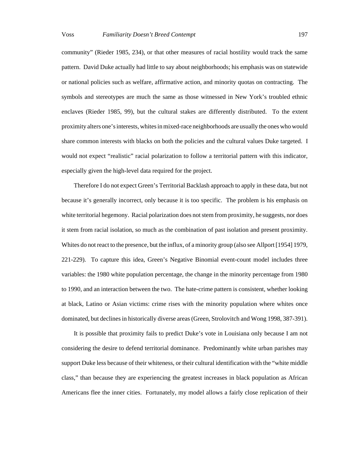community" (Rieder 1985, 234), or that other measures of racial hostility would track the same pattern. David Duke actually had little to say about neighborhoods; his emphasis was on statewide or national policies such as welfare, affirmative action, and minority quotas on contracting. The symbols and stereotypes are much the same as those witnessed in New York's troubled ethnic enclaves (Rieder 1985, 99), but the cultural stakes are differently distributed. To the extent proximity alters one's interests, whites in mixed-race neighborhoods are usually the ones who would share common interests with blacks on both the policies and the cultural values Duke targeted. I would not expect "realistic" racial polarization to follow a territorial pattern with this indicator, especially given the high-level data required for the project.

Therefore I do not expect Green's Territorial Backlash approach to apply in these data, but not because it's generally incorrect, only because it is too specific. The problem is his emphasis on white territorial hegemony. Racial polarization does not stem from proximity, he suggests, nor does it stem from racial isolation, so much as the combination of past isolation and present proximity. Whites do not react to the presence, but the influx, of a minority group (also see Allport [1954] 1979, 221-229). To capture this idea, Green's Negative Binomial event-count model includes three variables: the 1980 white population percentage, the change in the minority percentage from 1980 to 1990, and an interaction between the two. The hate-crime pattern is consistent, whether looking at black, Latino or Asian victims: crime rises with the minority population where whites once dominated, but declines in historically diverse areas (Green, Strolovitch and Wong 1998, 387-391).

It is possible that proximity fails to predict Duke's vote in Louisiana only because I am not considering the desire to defend territorial dominance. Predominantly white urban parishes may support Duke less because of their whiteness, or their cultural identification with the "white middle class," than because they are experiencing the greatest increases in black population as African Americans flee the inner cities. Fortunately, my model allows a fairly close replication of their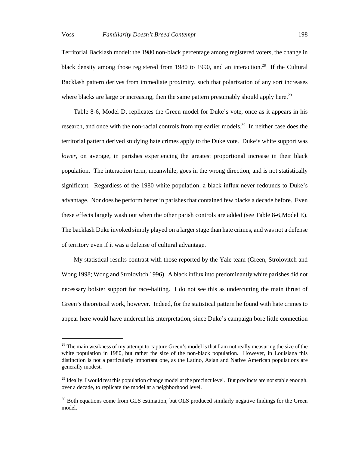Territorial Backlash model: the 1980 non-black percentage among registered voters, the change in black density among those registered from 1980 to 1990, and an interaction.<sup>28</sup> If the Cultural Backlash pattern derives from immediate proximity, such that polarization of any sort increases where blacks are large or increasing, then the same pattern presumably should apply here.<sup>29</sup>

Table 8-6, Model D, replicates the Green model for Duke's vote, once as it appears in his research, and once with the non-racial controls from my earlier models.<sup>30</sup> In neither case does the territorial pattern derived studying hate crimes apply to the Duke vote. Duke's white support was *lower*, on average, in parishes experiencing the greatest proportional increase in their black population. The interaction term, meanwhile, goes in the wrong direction, and is not statistically significant. Regardless of the 1980 white population, a black influx never redounds to Duke's advantage. Nor does he perform better in parishes that contained few blacks a decade before. Even these effects largely wash out when the other parish controls are added (see Table 8-6,Model E). The backlash Duke invoked simply played on a larger stage than hate crimes, and was not a defense of territory even if it was a defense of cultural advantage.

My statistical results contrast with those reported by the Yale team (Green, Strolovitch and Wong 1998; Wong and Strolovitch 1996). A black influx into predominantly white parishes did not necessary bolster support for race-baiting. I do not see this as undercutting the main thrust of Green's theoretical work, however. Indeed, for the statistical pattern he found with hate crimes to appear here would have undercut his interpretation, since Duke's campaign bore little connection

<sup>&</sup>lt;sup>28</sup> The main weakness of my attempt to capture Green's model is that I am not really measuring the size of the white population in 1980, but rather the size of the non-black population. However, in Louisiana this distinction is not a particularly important one, as the Latino, Asian and Native American populations are generally modest.

<sup>&</sup>lt;sup>29</sup> Ideally, I would test this population change model at the precinct level. But precincts are not stable enough, over a decade, to replicate the model at a neighborhood level.

 $30$  Both equations come from GLS estimation, but OLS produced similarly negative findings for the Green model.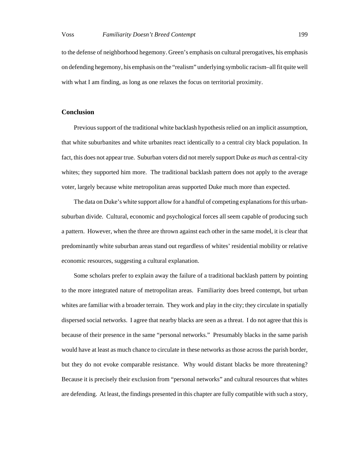to the defense of neighborhood hegemony. Green's emphasis on cultural prerogatives, his emphasis on defending hegemony, his emphasis on the "realism" underlying symbolic racism–all fit quite well with what I am finding, as long as one relaxes the focus on territorial proximity.

# **Conclusion**

Previous support of the traditional white backlash hypothesis relied on an implicit assumption, that white suburbanites and white urbanites react identically to a central city black population. In fact, this does not appear true. Suburban voters did not merely support Duke *as much as* central-city whites; they supported him more. The traditional backlash pattern does not apply to the average voter, largely because white metropolitan areas supported Duke much more than expected.

The data on Duke's white support allow for a handful of competing explanations for this urbansuburban divide. Cultural, economic and psychological forces all seem capable of producing such a pattern. However, when the three are thrown against each other in the same model, it is clear that predominantly white suburban areas stand out regardless of whites' residential mobility or relative economic resources, suggesting a cultural explanation.

Some scholars prefer to explain away the failure of a traditional backlash pattern by pointing to the more integrated nature of metropolitan areas. Familiarity does breed contempt, but urban whites are familiar with a broader terrain. They work and play in the city; they circulate in spatially dispersed social networks. I agree that nearby blacks are seen as a threat. I do not agree that this is because of their presence in the same "personal networks." Presumably blacks in the same parish would have at least as much chance to circulate in these networks as those across the parish border, but they do not evoke comparable resistance. Why would distant blacks be more threatening? Because it is precisely their exclusion from "personal networks" and cultural resources that whites are defending. At least, the findings presented in this chapter are fully compatible with such a story,